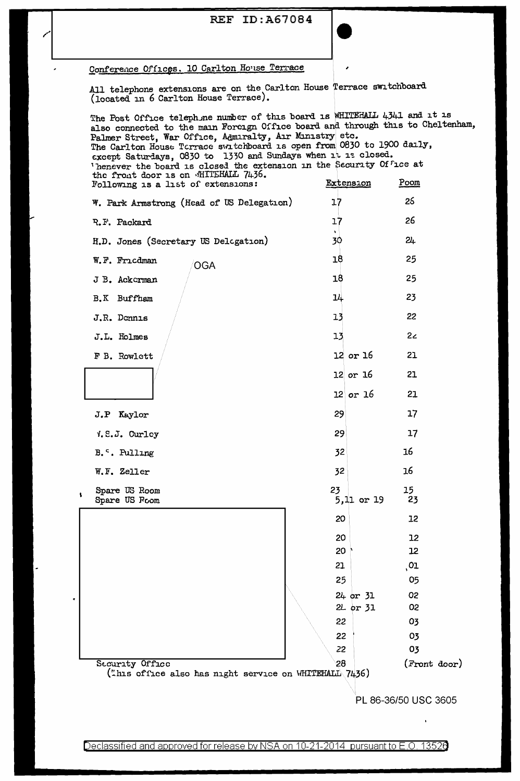## **REF ID: A67084**



# Conference Offices. 10 Carlton House Terrace

All telephone extensions are on the Carlton House Terrace switchboard (located in 6 Carlton House Terrace).

The Post Office telephone number of this board is WHITEHALL 4341 and it is also connected to the main Foreign Office board and through this to Cheltenham, Palmer Street, War Office, Admiralty, Air Ministry etc. The Carlton House Terrace switchboard is open from 0830 to 1900 daily,<br>except Saturdays, 0830 to 1330 and Sundays when it is closed. Thenever the board is closed the extension in the Security Office at<br>the front door is on MHTEHALL 7436. Extension Poom Following is a list of extensions:  $17$ 25 W. Park Armstrong (Head of US Delegation) 26  $17$ R.F. Packard 30  $2<sub>+</sub>$ H.D. Jones (Secretary US Delcgation) 25  $18$ W.F. Fricdman OGA 18 25 J B. Ackerman 23 14 B.K Buffham 22 J.R. Donnis 13  $13$  $2<sub>c</sub>$ J.L. Holmes  $12$  or  $16$ 21 F B. Rowlett  $12$  or  $16$ 21  $12$  or  $16$ 21 J.P Kaylor 29 17 29  $17$ V.S.J. Curley 16 32 B.<sup>c</sup>. Pulling 16 W.F. Zeller 32 Spare US Room 23 15 23 Spare US Foom 5,11 or 19 20 12 20  $12$ 20  $12$ 21  $\overline{01}$ 25 05 24 or 31 02 2L or 31 02 22 03 22 03 22 03 Security Office 28 (Front door) ("his office also has night service on WHITEHALL 7436) PL 86-36/50 USC 3605

Declassified and approved for release by NSA on 10-21-2014 pursuant to E.O. 13526